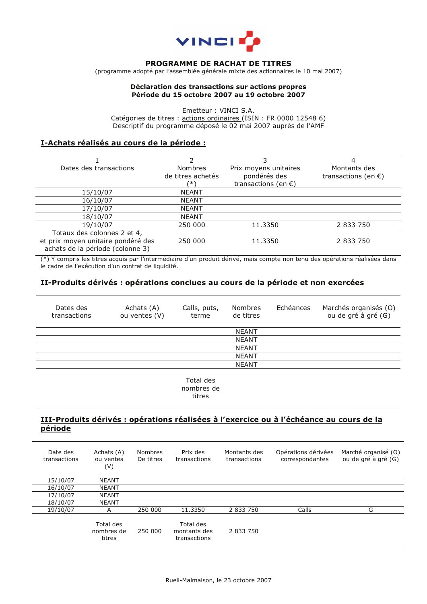

#### **PROGRAMME DE RACHAT DE TITRES**

(programme adopté par l'assemblée générale mixte des actionnaires le 10 mai 2007)

#### **Déclaration des transactions sur actions propres Période du 15 octobre 2007 au 19 octobre 2007**

Emetteur : VINCI S.A. Catégories de titres : actions ordinaires (ISIN : FR 0000 12548 6) Descriptif du programme déposé le 02 mai 2007 auprès de l'AMF

#### **I-Achats réalisés au cours de la période :**

| Dates des transactions             | <b>Nombres</b>    | Prix moyens unitaires         | Montants des                  |
|------------------------------------|-------------------|-------------------------------|-------------------------------|
|                                    | de titres achetés | pondérés des                  | transactions (en $\epsilon$ ) |
|                                    | ′* \              | transactions (en $\epsilon$ ) |                               |
| 15/10/07                           | <b>NEANT</b>      |                               |                               |
| 16/10/07                           | <b>NEANT</b>      |                               |                               |
| 17/10/07                           | <b>NEANT</b>      |                               |                               |
| 18/10/07                           | <b>NEANT</b>      |                               |                               |
| 19/10/07                           | 250 000           | 11.3350                       | 2 833 750                     |
| Totaux des colonnes 2 et 4,        |                   |                               |                               |
| et prix moyen unitaire pondéré des | 250 000           | 11.3350                       | 2 833 750                     |
| achats de la période (colonne 3)   |                   |                               |                               |

(\*) Y compris les titres acquis par l'intermédiaire d'un produit dérivé, mais compte non tenu des opérations réalisées dans le cadre de l'exécution d'un contrat de liquidité.

## **II-Produits dérivés : opérations conclues au cours de la période et non exercées**

| Dates des<br>transactions | Achats (A)<br>ou ventes (V) | Calls, puts,<br>terme | Nombres<br>de titres | Echéances | Marchés organisés (O)<br>ou de gré à gré (G) |
|---------------------------|-----------------------------|-----------------------|----------------------|-----------|----------------------------------------------|
|                           |                             |                       | <b>NEANT</b>         |           |                                              |
|                           |                             |                       | <b>NEANT</b>         |           |                                              |
|                           |                             |                       | <b>NEANT</b>         |           |                                              |
|                           |                             |                       | <b>NEANT</b>         |           |                                              |
|                           |                             |                       | <b>NEANT</b>         |           |                                              |
|                           |                             |                       |                      |           |                                              |

Total des nombres de titres

# **III-Produits dérivés : opérations réalisées à l'exercice ou à l'échéance au cours de la période**

| Date des<br>transactions | Achats (A)<br>ou ventes<br>(V)    | Nombres<br>De titres | Prix des<br>transactions                  | Montants des<br>transactions | Opérations dérivées<br>correspondantes | Marché organisé (O)<br>ou de gré à gré (G) |
|--------------------------|-----------------------------------|----------------------|-------------------------------------------|------------------------------|----------------------------------------|--------------------------------------------|
| 15/10/07                 | <b>NEANT</b>                      |                      |                                           |                              |                                        |                                            |
| 16/10/07                 | <b>NEANT</b>                      |                      |                                           |                              |                                        |                                            |
| 17/10/07                 | <b>NEANT</b>                      |                      |                                           |                              |                                        |                                            |
| 18/10/07                 | <b>NEANT</b>                      |                      |                                           |                              |                                        |                                            |
| 19/10/07                 | Α                                 | 250 000              | 11.3350                                   | 2 833 750                    | Calls                                  | G                                          |
|                          | Total des<br>nombres de<br>titres | 250 000              | Total des<br>montants des<br>transactions | 2 833 750                    |                                        |                                            |